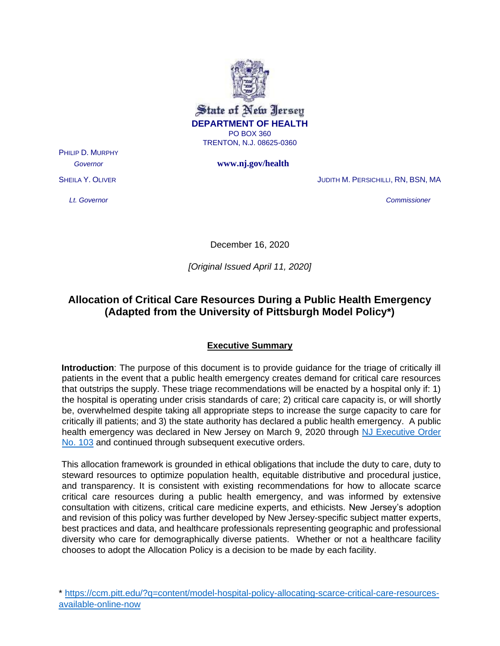

*Governor* **www.nj.gov/health** 

PHILIP D. MURPHY

SHEILA Y. OLIVER GENERAL STREET IN THE STREET STREET IN STREET IN STREET IN STREET IN STREET IN STREET IN STREET

*Lt. Governor Commissioner* 

December 16, 2020

*[Original Issued April 11, 2020]*

# **Allocation of Critical Care Resources During a Public Health Emergency (Adapted from the University of Pittsburgh Model Policy\*)**

## **Executive Summary**

**Introduction**: The purpose of this document is to provide guidance for the triage of critically ill patients in the event that a public health emergency creates demand for critical care resources that outstrips the supply. These triage recommendations will be enacted by a hospital only if: 1) the hospital is operating under crisis standards of care; 2) critical care capacity is, or will shortly be, overwhelmed despite taking all appropriate steps to increase the surge capacity to care for critically ill patients; and 3) the state authority has declared a public health emergency. A public health emergency was declared in New Jersey on March 9, 2020 through [NJ Executive Order](https://nj.gov/infobank/eo/056murphy/pdf/EO-103.pdf)  [No. 103](https://nj.gov/infobank/eo/056murphy/pdf/EO-103.pdf) and continued through subsequent executive orders.

This allocation framework is grounded in ethical obligations that include the duty to care, duty to steward resources to optimize population health, equitable distributive and procedural justice, and transparency. It is consistent with existing recommendations for how to allocate scarce critical care resources during a public health emergency, and was informed by extensive consultation with citizens, critical care medicine experts, and ethicists. New Jersey's adoption and revision of this policy was further developed by New Jersey-specific subject matter experts, best practices and data, and healthcare professionals representing geographic and professional diversity who care for demographically diverse patients. Whether or not a healthcare facility chooses to adopt the Allocation Policy is a decision to be made by each facility.

<sup>\*</sup> [https://ccm.pitt.edu/?q=content/model-hospital-policy-allocating-scarce-critical-care-resources](https://ccm.pitt.edu/?q=content/model-hospital-policy-allocating-scarce-critical-care-resources-available-online-now)[available-online-now](https://ccm.pitt.edu/?q=content/model-hospital-policy-allocating-scarce-critical-care-resources-available-online-now)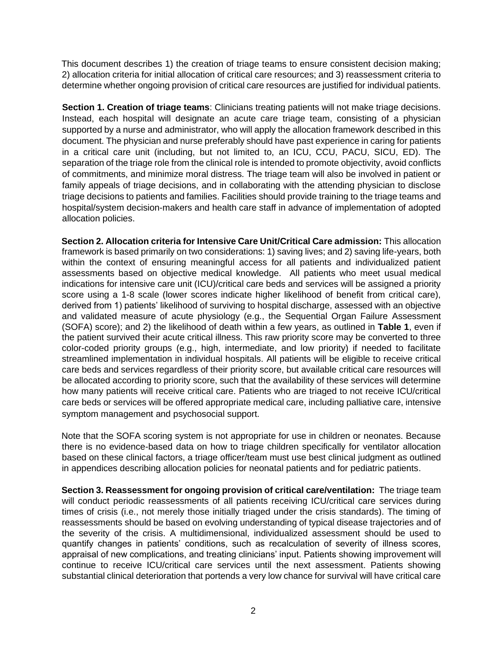This document describes 1) the creation of triage teams to ensure consistent decision making; 2) allocation criteria for initial allocation of critical care resources; and 3) reassessment criteria to determine whether ongoing provision of critical care resources are justified for individual patients.

**Section 1. Creation of triage teams**: Clinicians treating patients will not make triage decisions. Instead, each hospital will designate an acute care triage team, consisting of a physician supported by a nurse and administrator, who will apply the allocation framework described in this document. The physician and nurse preferably should have past experience in caring for patients in a critical care unit (including, but not limited to, an ICU, CCU, PACU, SICU, ED). The separation of the triage role from the clinical role is intended to promote objectivity, avoid conflicts of commitments, and minimize moral distress. The triage team will also be involved in patient or family appeals of triage decisions, and in collaborating with the attending physician to disclose triage decisions to patients and families. Facilities should provide training to the triage teams and hospital/system decision-makers and health care staff in advance of implementation of adopted allocation policies.

**Section 2. Allocation criteria for Intensive Care Unit/Critical Care admission:** This allocation framework is based primarily on two considerations: 1) saving lives; and 2) saving life-years, both within the context of ensuring meaningful access for all patients and individualized patient assessments based on objective medical knowledge. All patients who meet usual medical indications for intensive care unit (ICU)/critical care beds and services will be assigned a priority score using a 1-8 scale (lower scores indicate higher likelihood of benefit from critical care), derived from 1) patients' likelihood of surviving to hospital discharge, assessed with an objective and validated measure of acute physiology (e.g., the Sequential Organ Failure Assessment (SOFA) score); and 2) the likelihood of death within a few years, as outlined in **Table 1**, even if the patient survived their acute critical illness. This raw priority score may be converted to three color-coded priority groups (e.g., high, intermediate, and low priority) if needed to facilitate streamlined implementation in individual hospitals. All patients will be eligible to receive critical care beds and services regardless of their priority score, but available critical care resources will be allocated according to priority score, such that the availability of these services will determine how many patients will receive critical care. Patients who are triaged to not receive ICU/critical care beds or services will be offered appropriate medical care, including palliative care, intensive symptom management and psychosocial support.

Note that the SOFA scoring system is not appropriate for use in children or neonates. Because there is no evidence-based data on how to triage children specifically for ventilator allocation based on these clinical factors, a triage officer/team must use best clinical judgment as outlined in appendices describing allocation policies for neonatal patients and for pediatric patients.

**Section 3. Reassessment for ongoing provision of critical care/ventilation:** The triage team will conduct periodic reassessments of all patients receiving ICU/critical care services during times of crisis (i.e., not merely those initially triaged under the crisis standards). The timing of reassessments should be based on evolving understanding of typical disease trajectories and of the severity of the crisis. A multidimensional, individualized assessment should be used to quantify changes in patients' conditions, such as recalculation of severity of illness scores, appraisal of new complications, and treating clinicians' input. Patients showing improvement will continue to receive ICU/critical care services until the next assessment. Patients showing substantial clinical deterioration that portends a very low chance for survival will have critical care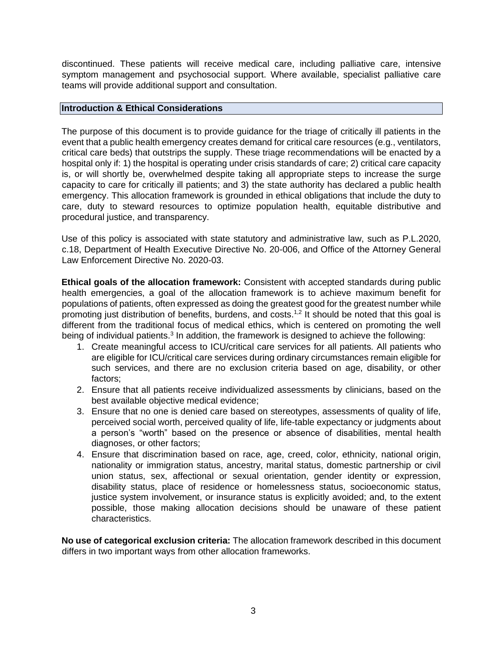discontinued. These patients will receive medical care, including palliative care, intensive symptom management and psychosocial support. Where available, specialist palliative care teams will provide additional support and consultation.

#### **Introduction & Ethical Considerations**

The purpose of this document is to provide guidance for the triage of critically ill patients in the event that a public health emergency creates demand for critical care resources (e.g., ventilators, critical care beds) that outstrips the supply. These triage recommendations will be enacted by a hospital only if: 1) the hospital is operating under crisis standards of care; 2) critical care capacity is, or will shortly be, overwhelmed despite taking all appropriate steps to increase the surge capacity to care for critically ill patients; and 3) the state authority has declared a public health emergency. This allocation framework is grounded in ethical obligations that include the duty to care, duty to steward resources to optimize population health, equitable distributive and procedural justice, and transparency.

Use of this policy is associated with state statutory and administrative law, such as P.L.2020, c.18, Department of Health Executive Directive No. 20-006, and Office of the Attorney General Law Enforcement Directive No. 2020-03.

**Ethical goals of the allocation framework:** Consistent with accepted standards during public health emergencies, a goal of the allocation framework is to achieve maximum benefit for populations of patients, often expressed as doing the greatest good for the greatest number while promoting just distribution of benefits, burdens, and costs.<sup>1,2</sup> It should be noted that this goal is different from the traditional focus of medical ethics, which is centered on promoting the well being of individual patients.<sup>3</sup> In addition, the framework is designed to achieve the following:

- 1. Create meaningful access to ICU/critical care services for all patients. All patients who are eligible for ICU/critical care services during ordinary circumstances remain eligible for such services, and there are no exclusion criteria based on age, disability, or other factors;
- 2. Ensure that all patients receive individualized assessments by clinicians, based on the best available objective medical evidence;
- 3. Ensure that no one is denied care based on stereotypes, assessments of quality of life, perceived social worth, perceived quality of life, life-table expectancy or judgments about a person's "worth" based on the presence or absence of disabilities, mental health diagnoses, or other factors;
- 4. Ensure that discrimination based on race, age, creed, color, ethnicity, national origin, nationality or immigration status, ancestry, marital status, domestic partnership or civil union status, sex, affectional or sexual orientation, gender identity or expression, disability status, place of residence or homelessness status, socioeconomic status, justice system involvement, or insurance status is explicitly avoided; and, to the extent possible, those making allocation decisions should be unaware of these patient characteristics.

**No use of categorical exclusion criteria:** The allocation framework described in this document differs in two important ways from other allocation frameworks.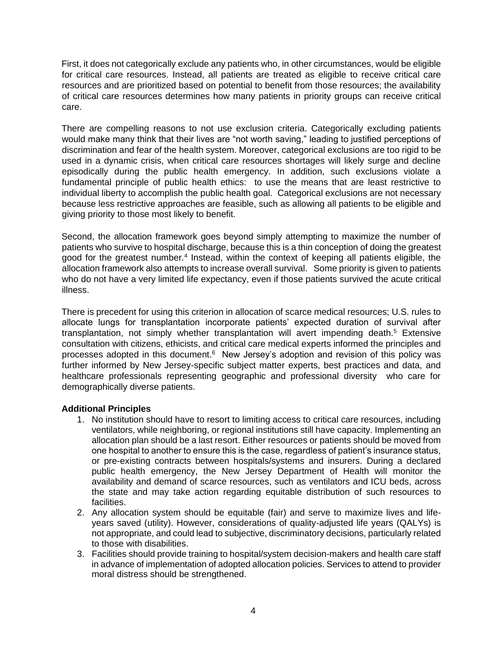First, it does not categorically exclude any patients who, in other circumstances, would be eligible for critical care resources. Instead, all patients are treated as eligible to receive critical care resources and are prioritized based on potential to benefit from those resources; the availability of critical care resources determines how many patients in priority groups can receive critical care.

There are compelling reasons to not use exclusion criteria. Categorically excluding patients would make many think that their lives are "not worth saving," leading to justified perceptions of discrimination and fear of the health system. Moreover, categorical exclusions are too rigid to be used in a dynamic crisis, when critical care resources shortages will likely surge and decline episodically during the public health emergency. In addition, such exclusions violate a fundamental principle of public health ethics: to use the means that are least restrictive to individual liberty to accomplish the public health goal. Categorical exclusions are not necessary because less restrictive approaches are feasible, such as allowing all patients to be eligible and giving priority to those most likely to benefit.

Second, the allocation framework goes beyond simply attempting to maximize the number of patients who survive to hospital discharge, because this is a thin conception of doing the greatest good for the greatest number.<sup>4</sup> Instead, within the context of keeping all patients eligible, the allocation framework also attempts to increase overall survival. Some priority is given to patients who do not have a very limited life expectancy, even if those patients survived the acute critical illness.

There is precedent for using this criterion in allocation of scarce medical resources; U.S. rules to allocate lungs for transplantation incorporate patients' expected duration of survival after transplantation, not simply whether transplantation will avert impending death.<sup>5</sup> Extensive consultation with citizens, ethicists, and critical care medical experts informed the principles and processes adopted in this document.<sup>6</sup> New Jersey's adoption and revision of this policy was further informed by New Jersey-specific subject matter experts, best practices and data, and healthcare professionals representing geographic and professional diversity who care for demographically diverse patients.

### **Additional Principles**

- 1. No institution should have to resort to limiting access to critical care resources, including ventilators, while neighboring, or regional institutions still have capacity. Implementing an allocation plan should be a last resort. Either resources or patients should be moved from one hospital to another to ensure this is the case, regardless of patient's insurance status, or pre-existing contracts between hospitals/systems and insurers. During a declared public health emergency, the New Jersey Department of Health will monitor the availability and demand of scarce resources, such as ventilators and ICU beds, across the state and may take action regarding equitable distribution of such resources to facilities.
- 2. Any allocation system should be equitable (fair) and serve to maximize lives and lifeyears saved (utility). However, considerations of quality-adjusted life years (QALYs) is not appropriate, and could lead to subjective, discriminatory decisions, particularly related to those with disabilities.
- 3. Facilities should provide training to hospital/system decision-makers and health care staff in advance of implementation of adopted allocation policies. Services to attend to provider moral distress should be strengthened.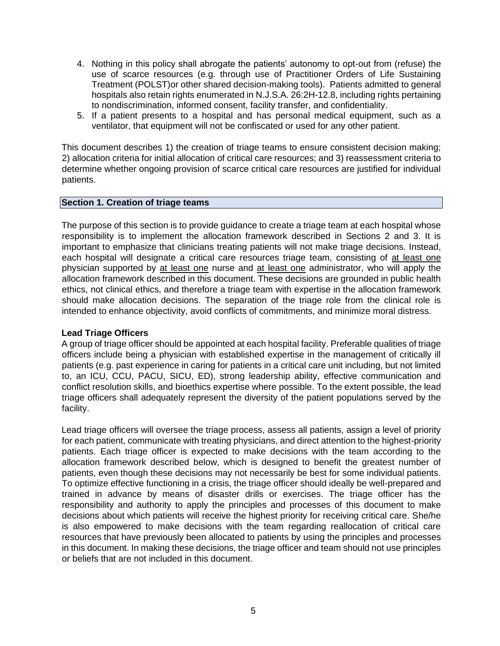- 4. Nothing in this policy shall abrogate the patients' autonomy to opt-out from (refuse) the use of scarce resources (e.g. through use of Practitioner Orders of Life Sustaining Treatment (POLST)or other shared decision-making tools). Patients admitted to general hospitals also retain rights enumerated in N.J.S.A. 26:2H-12.8, including rights pertaining to nondiscrimination, informed consent, facility transfer, and confidentiality.
- 5. If a patient presents to a hospital and has personal medical equipment, such as a ventilator, that equipment will not be confiscated or used for any other patient.

This document describes 1) the creation of triage teams to ensure consistent decision making; 2) allocation criteria for initial allocation of critical care resources; and 3) reassessment criteria to determine whether ongoing provision of scarce critical care resources are justified for individual patients.

#### **Section 1. Creation of triage teams**

The purpose of this section is to provide guidance to create a triage team at each hospital whose responsibility is to implement the allocation framework described in Sections 2 and 3. It is important to emphasize that clinicians treating patients will not make triage decisions. Instead, each hospital will designate a critical care resources triage team, consisting of at least one physician supported by at least one nurse and at least one administrator, who will apply the allocation framework described in this document. These decisions are grounded in public health ethics, not clinical ethics, and therefore a triage team with expertise in the allocation framework should make allocation decisions. The separation of the triage role from the clinical role is intended to enhance objectivity, avoid conflicts of commitments, and minimize moral distress.

### **Lead Triage Officers**

A group of triage officer should be appointed at each hospital facility. Preferable qualities of triage officers include being a physician with established expertise in the management of critically ill patients (e.g. past experience in caring for patients in a critical care unit including, but not limited to, an ICU, CCU, PACU, SICU, ED), strong leadership ability, effective communication and conflict resolution skills, and bioethics expertise where possible. To the extent possible, the lead triage officers shall adequately represent the diversity of the patient populations served by the facility.

Lead triage officers will oversee the triage process, assess all patients, assign a level of priority for each patient, communicate with treating physicians, and direct attention to the highest-priority patients. Each triage officer is expected to make decisions with the team according to the allocation framework described below, which is designed to benefit the greatest number of patients, even though these decisions may not necessarily be best for some individual patients. To optimize effective functioning in a crisis, the triage officer should ideally be well-prepared and trained in advance by means of disaster drills or exercises. The triage officer has the responsibility and authority to apply the principles and processes of this document to make decisions about which patients will receive the highest priority for receiving critical care. She/he is also empowered to make decisions with the team regarding reallocation of critical care resources that have previously been allocated to patients by using the principles and processes in this document. In making these decisions, the triage officer and team should not use principles or beliefs that are not included in this document.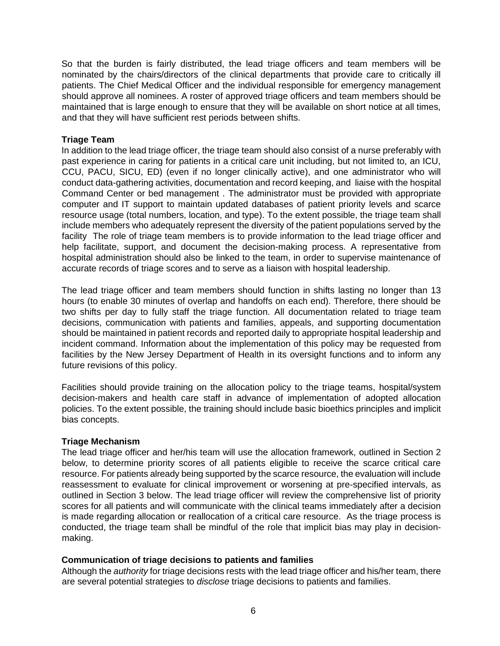So that the burden is fairly distributed, the lead triage officers and team members will be nominated by the chairs/directors of the clinical departments that provide care to critically ill patients. The Chief Medical Officer and the individual responsible for emergency management should approve all nominees. A roster of approved triage officers and team members should be maintained that is large enough to ensure that they will be available on short notice at all times, and that they will have sufficient rest periods between shifts.

#### **Triage Team**

In addition to the lead triage officer, the triage team should also consist of a nurse preferably with past experience in caring for patients in a critical care unit including, but not limited to, an ICU, CCU, PACU, SICU, ED) (even if no longer clinically active), and one administrator who will conduct data-gathering activities, documentation and record keeping, and liaise with the hospital Command Center or bed management . The administrator must be provided with appropriate computer and IT support to maintain updated databases of patient priority levels and scarce resource usage (total numbers, location, and type). To the extent possible, the triage team shall include members who adequately represent the diversity of the patient populations served by the facility The role of triage team members is to provide information to the lead triage officer and help facilitate, support, and document the decision-making process. A representative from hospital administration should also be linked to the team, in order to supervise maintenance of accurate records of triage scores and to serve as a liaison with hospital leadership.

The lead triage officer and team members should function in shifts lasting no longer than 13 hours (to enable 30 minutes of overlap and handoffs on each end). Therefore, there should be two shifts per day to fully staff the triage function. All documentation related to triage team decisions, communication with patients and families, appeals, and supporting documentation should be maintained in patient records and reported daily to appropriate hospital leadership and incident command. Information about the implementation of this policy may be requested from facilities by the New Jersey Department of Health in its oversight functions and to inform any future revisions of this policy.

Facilities should provide training on the allocation policy to the triage teams, hospital/system decision-makers and health care staff in advance of implementation of adopted allocation policies. To the extent possible, the training should include basic bioethics principles and implicit bias concepts.

#### **Triage Mechanism**

The lead triage officer and her/his team will use the allocation framework, outlined in Section 2 below, to determine priority scores of all patients eligible to receive the scarce critical care resource. For patients already being supported by the scarce resource, the evaluation will include reassessment to evaluate for clinical improvement or worsening at pre-specified intervals, as outlined in Section 3 below. The lead triage officer will review the comprehensive list of priority scores for all patients and will communicate with the clinical teams immediately after a decision is made regarding allocation or reallocation of a critical care resource. As the triage process is conducted, the triage team shall be mindful of the role that implicit bias may play in decisionmaking.

#### **Communication of triage decisions to patients and families**

Although the *authority* for triage decisions rests with the lead triage officer and his/her team, there are several potential strategies to *disclose* triage decisions to patients and families.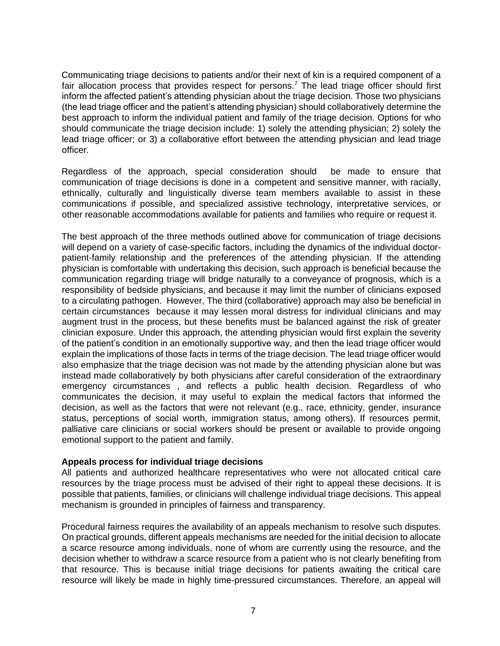Communicating triage decisions to patients and/or their next of kin is a required component of a fair allocation process that provides respect for persons.<sup>7</sup> The lead triage officer should first inform the affected patient's attending physician about the triage decision. Those two physicians (the lead triage officer and the patient's attending physician) should collaboratively determine the best approach to inform the individual patient and family of the triage decision. Options for who should communicate the triage decision include: 1) solely the attending physician; 2) solely the lead triage officer; or 3) a collaborative effort between the attending physician and lead triage officer.

Regardless of the approach, special consideration should be made to ensure that communication of triage decisions is done in a competent and sensitive manner, with racially, ethnically, culturally and linguistically diverse team members available to assist in these communications if possible, and specialized assistive technology, interpretative services, or other reasonable accommodations available for patients and families who require or request it.

The best approach of the three methods outlined above for communication of triage decisions will depend on a variety of case-specific factors, including the dynamics of the individual doctorpatient-family relationship and the preferences of the attending physician. If the attending physician is comfortable with undertaking this decision, such approach is beneficial because the communication regarding triage will bridge naturally to a conveyance of prognosis, which is a responsibility of bedside physicians, and because it may limit the number of clinicians exposed to a circulating pathogen. However, The third (collaborative) approach may also be beneficial in certain circumstances because it may lessen moral distress for individual clinicians and may augment trust in the process, but these benefits must be balanced against the risk of greater clinician exposure. Under this approach, the attending physician would first explain the severity of the patient's condition in an emotionally supportive way, and then the lead triage officer would explain the implications of those facts in terms of the triage decision. The lead triage officer would also emphasize that the triage decision was not made by the attending physician alone but was instead made collaboratively by both physicians after careful consideration of the extraordinary emergency circumstances , and reflects a public health decision. Regardless of who communicates the decision, it may useful to explain the medical factors that informed the decision, as well as the factors that were not relevant (e.g., race, ethnicity, gender, insurance status, perceptions of social worth, immigration status, among others). If resources permit, palliative care clinicians or social workers should be present or available to provide ongoing emotional support to the patient and family.

### **Appeals process for individual triage decisions**

All patients and authorized healthcare representatives who were not allocated critical care resources by the triage process must be advised of their right to appeal these decisions. It is possible that patients, families, or clinicians will challenge individual triage decisions. This appeal mechanism is grounded in principles of fairness and transparency.

Procedural fairness requires the availability of an appeals mechanism to resolve such disputes. On practical grounds, different appeals mechanisms are needed for the initial decision to allocate a scarce resource among individuals, none of whom are currently using the resource, and the decision whether to withdraw a scarce resource from a patient who is not clearly benefiting from that resource. This is because initial triage decisions for patients awaiting the critical care resource will likely be made in highly time-pressured circumstances. Therefore, an appeal will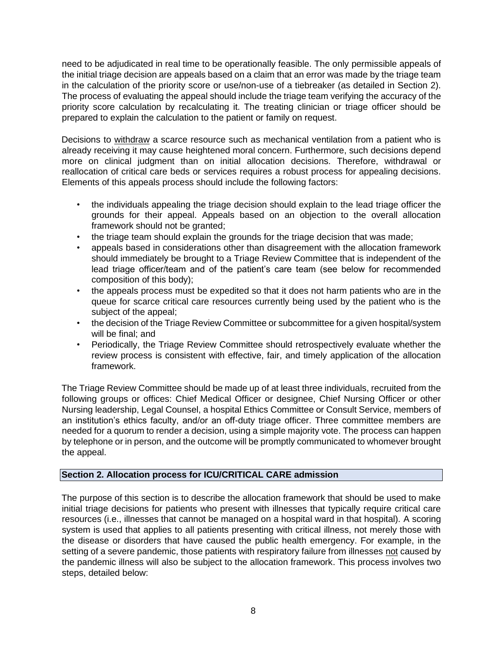need to be adjudicated in real time to be operationally feasible. The only permissible appeals of the initial triage decision are appeals based on a claim that an error was made by the triage team in the calculation of the priority score or use/non-use of a tiebreaker (as detailed in Section 2). The process of evaluating the appeal should include the triage team verifying the accuracy of the priority score calculation by recalculating it. The treating clinician or triage officer should be prepared to explain the calculation to the patient or family on request.

Decisions to withdraw a scarce resource such as mechanical ventilation from a patient who is already receiving it may cause heightened moral concern. Furthermore, such decisions depend more on clinical judgment than on initial allocation decisions. Therefore, withdrawal or reallocation of critical care beds or services requires a robust process for appealing decisions. Elements of this appeals process should include the following factors:

- the individuals appealing the triage decision should explain to the lead triage officer the grounds for their appeal. Appeals based on an objection to the overall allocation framework should not be granted;
- the triage team should explain the grounds for the triage decision that was made;
- appeals based in considerations other than disagreement with the allocation framework should immediately be brought to a Triage Review Committee that is independent of the lead triage officer/team and of the patient's care team (see below for recommended composition of this body);
- the appeals process must be expedited so that it does not harm patients who are in the queue for scarce critical care resources currently being used by the patient who is the subject of the appeal;
- the decision of the Triage Review Committee or subcommittee for a given hospital/system will be final; and
- Periodically, the Triage Review Committee should retrospectively evaluate whether the review process is consistent with effective, fair, and timely application of the allocation framework.

The Triage Review Committee should be made up of at least three individuals, recruited from the following groups or offices: Chief Medical Officer or designee, Chief Nursing Officer or other Nursing leadership, Legal Counsel, a hospital Ethics Committee or Consult Service, members of an institution's ethics faculty, and/or an off-duty triage officer. Three committee members are needed for a quorum to render a decision, using a simple majority vote. The process can happen by telephone or in person, and the outcome will be promptly communicated to whomever brought the appeal.

### **Section 2. Allocation process for ICU/CRITICAL CARE admission**

The purpose of this section is to describe the allocation framework that should be used to make initial triage decisions for patients who present with illnesses that typically require critical care resources (i.e., illnesses that cannot be managed on a hospital ward in that hospital). A scoring system is used that applies to all patients presenting with critical illness, not merely those with the disease or disorders that have caused the public health emergency. For example, in the setting of a severe pandemic, those patients with respiratory failure from illnesses not caused by the pandemic illness will also be subject to the allocation framework. This process involves two steps, detailed below: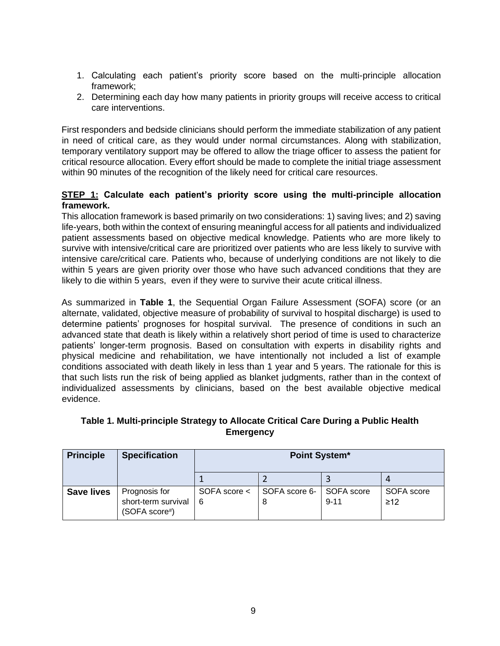- 1. Calculating each patient's priority score based on the multi-principle allocation framework;
- 2. Determining each day how many patients in priority groups will receive access to critical care interventions.

First responders and bedside clinicians should perform the immediate stabilization of any patient in need of critical care, as they would under normal circumstances. Along with stabilization, temporary ventilatory support may be offered to allow the triage officer to assess the patient for critical resource allocation. Every effort should be made to complete the initial triage assessment within 90 minutes of the recognition of the likely need for critical care resources.

## **STEP 1: Calculate each patient's priority score using the multi-principle allocation framework.**

This allocation framework is based primarily on two considerations: 1) saving lives; and 2) saving life-years, both within the context of ensuring meaningful access for all patients and individualized patient assessments based on objective medical knowledge. Patients who are more likely to survive with intensive/critical care are prioritized over patients who are less likely to survive with intensive care/critical care. Patients who, because of underlying conditions are not likely to die within 5 years are given priority over those who have such advanced conditions that they are likely to die within 5 years, even if they were to survive their acute critical illness.

As summarized in **Table 1**, the Sequential Organ Failure Assessment (SOFA) score (or an alternate, validated, objective measure of probability of survival to hospital discharge) is used to determine patients' prognoses for hospital survival. The presence of conditions in such an advanced state that death is likely within a relatively short period of time is used to characterize patients' longer-term prognosis. Based on consultation with experts in disability rights and physical medicine and rehabilitation, we have intentionally not included a list of example conditions associated with death likely in less than 1 year and 5 years. The rationale for this is that such lists run the risk of being applied as blanket judgments, rather than in the context of individualized assessments by clinicians, based on the best available objective medical evidence.

| <b>Principle</b>  | <b>Specification</b>                                  | Point System*     |                            |          |                         |
|-------------------|-------------------------------------------------------|-------------------|----------------------------|----------|-------------------------|
|                   |                                                       |                   |                            |          |                         |
| <b>Save lives</b> | Prognosis for<br>short-term survival<br>(SOFA score#) | SOFA score <<br>6 | SOFA score 6-   SOFA score | $9 - 11$ | SOFA score<br>$\geq$ 12 |

## **Table 1. Multi-principle Strategy to Allocate Critical Care During a Public Health Emergency**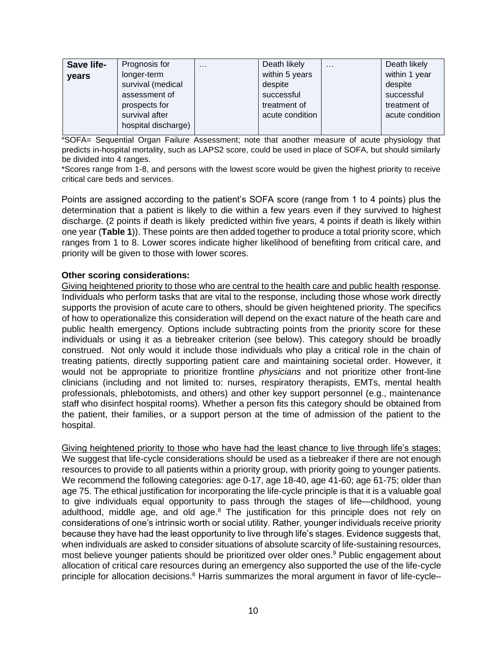| Save life-   | Prognosis for       | $\cdots$ | Death likely    | $\cdots$ | Death likely    |
|--------------|---------------------|----------|-----------------|----------|-----------------|
| <b>vears</b> | longer-term         |          | within 5 years  |          | within 1 year   |
|              | survival (medical   |          | despite         |          | despite         |
|              | assessment of       |          | successful      |          | successful      |
|              | prospects for       |          | treatment of    |          | treatment of    |
|              | survival after      |          | acute condition |          | acute condition |
|              | hospital discharge) |          |                 |          |                 |
|              |                     |          |                 |          |                 |

#SOFA= Sequential Organ Failure Assessment; note that another measure of acute physiology that predicts in-hospital mortality, such as LAPS2 score, could be used in place of SOFA, but should similarly be divided into 4 ranges.

\*Scores range from 1-8, and persons with the lowest score would be given the highest priority to receive critical care beds and services.

Points are assigned according to the patient's SOFA score (range from 1 to 4 points) plus the determination that a patient is likely to die within a few years even if they survived to highest discharge. (2 points if death is likely predicted within five years, 4 points if death is likely within one year (**Table 1**)). These points are then added together to produce a total priority score, which ranges from 1 to 8. Lower scores indicate higher likelihood of benefiting from critical care, and priority will be given to those with lower scores.

#### **Other scoring considerations:**

Giving heightened priority to those who are central to the health care and public health response. Individuals who perform tasks that are vital to the response, including those whose work directly supports the provision of acute care to others, should be given heightened priority. The specifics of how to operationalize this consideration will depend on the exact nature of the heath care and public health emergency. Options include subtracting points from the priority score for these individuals or using it as a tiebreaker criterion (see below). This category should be broadly construed. Not only would it include those individuals who play a critical role in the chain of treating patients, directly supporting patient care and maintaining societal order. However, it would not be appropriate to prioritize frontline *physicians* and not prioritize other front-line clinicians (including and not limited to: nurses, respiratory therapists, EMTs, mental health professionals, phlebotomists, and others) and other key support personnel (e.g., maintenance staff who disinfect hospital rooms). Whether a person fits this category should be obtained from the patient, their families, or a support person at the time of admission of the patient to the hospital.

Giving heightened priority to those who have had the least chance to live through life's stages: We suggest that life-cycle considerations should be used as a tiebreaker if there are not enough resources to provide to all patients within a priority group, with priority going to younger patients. We recommend the following categories: age 0-17, age 18-40, age 41-60; age 61-75; older than age 75. The ethical justification for incorporating the life-cycle principle is that it is a valuable goal to give individuals equal opportunity to pass through the stages of life—childhood, young adulthood, middle age, and old age.<sup>8</sup> The justification for this principle does not rely on considerations of one's intrinsic worth or social utility. Rather, younger individuals receive priority because they have had the least opportunity to live through life's stages. Evidence suggests that, when individuals are asked to consider situations of absolute scarcity of life-sustaining resources, most believe younger patients should be prioritized over older ones.<sup>9</sup> Public engagement about allocation of critical care resources during an emergency also supported the use of the life-cycle principle for allocation decisions.<sup>6</sup> Harris summarizes the moral argument in favor of life-cycle–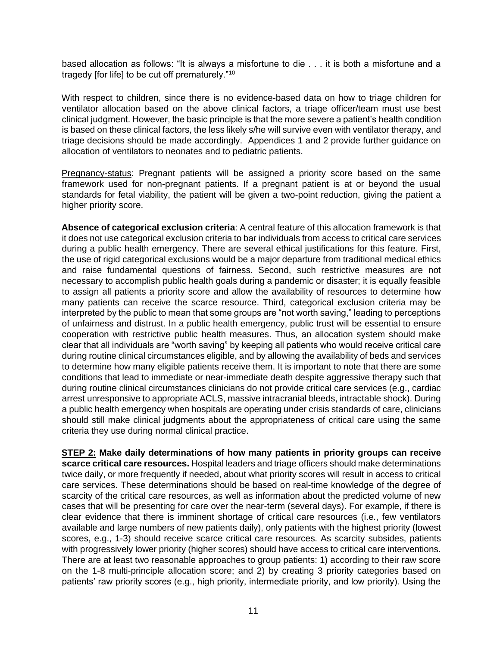based allocation as follows: "It is always a misfortune to die . . . it is both a misfortune and a tragedy [for life] to be cut off prematurely."<sup>10</sup>

With respect to children, since there is no evidence-based data on how to triage children for ventilator allocation based on the above clinical factors, a triage officer/team must use best clinical judgment. However, the basic principle is that the more severe a patient's health condition is based on these clinical factors, the less likely s/he will survive even with ventilator therapy, and triage decisions should be made accordingly. Appendices 1 and 2 provide further guidance on allocation of ventilators to neonates and to pediatric patients.

Pregnancy-status: Pregnant patients will be assigned a priority score based on the same framework used for non-pregnant patients. If a pregnant patient is at or beyond the usual standards for fetal viability, the patient will be given a two-point reduction, giving the patient a higher priority score.

**Absence of categorical exclusion criteria**: A central feature of this allocation framework is that it does not use categorical exclusion criteria to bar individuals from access to critical care services during a public health emergency. There are several ethical justifications for this feature. First, the use of rigid categorical exclusions would be a major departure from traditional medical ethics and raise fundamental questions of fairness. Second, such restrictive measures are not necessary to accomplish public health goals during a pandemic or disaster; it is equally feasible to assign all patients a priority score and allow the availability of resources to determine how many patients can receive the scarce resource. Third, categorical exclusion criteria may be interpreted by the public to mean that some groups are "not worth saving," leading to perceptions of unfairness and distrust. In a public health emergency, public trust will be essential to ensure cooperation with restrictive public health measures. Thus, an allocation system should make clear that all individuals are "worth saving" by keeping all patients who would receive critical care during routine clinical circumstances eligible, and by allowing the availability of beds and services to determine how many eligible patients receive them. It is important to note that there are some conditions that lead to immediate or near-immediate death despite aggressive therapy such that during routine clinical circumstances clinicians do not provide critical care services (e.g., cardiac arrest unresponsive to appropriate ACLS, massive intracranial bleeds, intractable shock). During a public health emergency when hospitals are operating under crisis standards of care, clinicians should still make clinical judgments about the appropriateness of critical care using the same criteria they use during normal clinical practice.

**STEP 2: Make daily determinations of how many patients in priority groups can receive scarce critical care resources.** Hospital leaders and triage officers should make determinations twice daily, or more frequently if needed, about what priority scores will result in access to critical care services. These determinations should be based on real-time knowledge of the degree of scarcity of the critical care resources, as well as information about the predicted volume of new cases that will be presenting for care over the near-term (several days). For example, if there is clear evidence that there is imminent shortage of critical care resources (i.e., few ventilators available and large numbers of new patients daily), only patients with the highest priority (lowest scores, e.g., 1-3) should receive scarce critical care resources. As scarcity subsides, patients with progressively lower priority (higher scores) should have access to critical care interventions. There are at least two reasonable approaches to group patients: 1) according to their raw score on the 1-8 multi-principle allocation score; and 2) by creating 3 priority categories based on patients' raw priority scores (e.g., high priority, intermediate priority, and low priority). Using the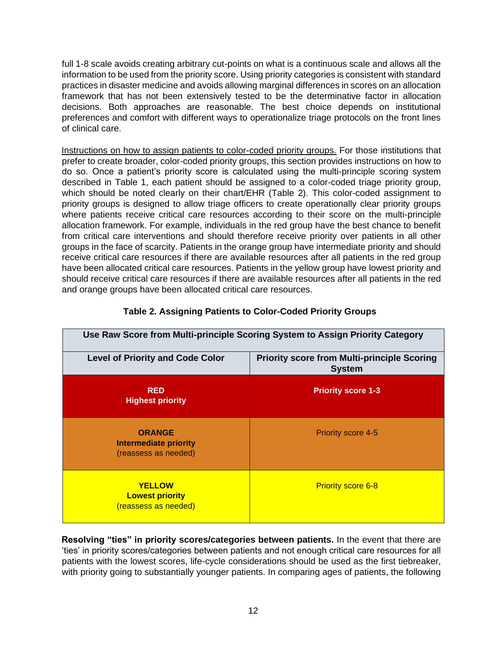full 1-8 scale avoids creating arbitrary cut-points on what is a continuous scale and allows all the information to be used from the priority score. Using priority categories is consistent with standard practices in disaster medicine and avoids allowing marginal differences in scores on an allocation framework that has not been extensively tested to be the determinative factor in allocation decisions. Both approaches are reasonable. The best choice depends on institutional preferences and comfort with different ways to operationalize triage protocols on the front lines of clinical care.

Instructions on how to assign patients to color-coded priority groups. For those institutions that prefer to create broader, color-coded priority groups, this section provides instructions on how to do so. Once a patient's priority score is calculated using the multi-principle scoring system described in Table 1, each patient should be assigned to a color-coded triage priority group, which should be noted clearly on their chart/EHR (Table 2). This color-coded assignment to priority groups is designed to allow triage officers to create operationally clear priority groups where patients receive critical care resources according to their score on the multi-principle allocation framework. For example, individuals in the red group have the best chance to benefit from critical care interventions and should therefore receive priority over patients in all other groups in the face of scarcity. Patients in the orange group have intermediate priority and should receive critical care resources if there are available resources after all patients in the red group have been allocated critical care resources. Patients in the yellow group have lowest priority and should receive critical care resources if there are available resources after all patients in the red and orange groups have been allocated critical care resources.

| Use Raw Score from Multi-principle Scoring System to Assign Priority Category                                  |                           |  |  |
|----------------------------------------------------------------------------------------------------------------|---------------------------|--|--|
| <b>Level of Priority and Code Color</b><br><b>Priority score from Multi-principle Scoring</b><br><b>System</b> |                           |  |  |
| <b>RED</b><br><b>Highest priority</b>                                                                          | <b>Priority score 1-3</b> |  |  |
| <b>ORANGE</b><br>Intermediate priority<br>(reassess as needed)                                                 | <b>Priority score 4-5</b> |  |  |
| <b>YELLOW</b><br><b>Lowest priority</b><br>(reassess as needed)                                                | <b>Priority score 6-8</b> |  |  |

## **Table 2. Assigning Patients to Color-Coded Priority Groups**

**Resolving "ties" in priority scores/categories between patients.** In the event that there are 'ties' in priority scores/categories between patients and not enough critical care resources for all patients with the lowest scores, life-cycle considerations should be used as the first tiebreaker, with priority going to substantially younger patients. In comparing ages of patients, the following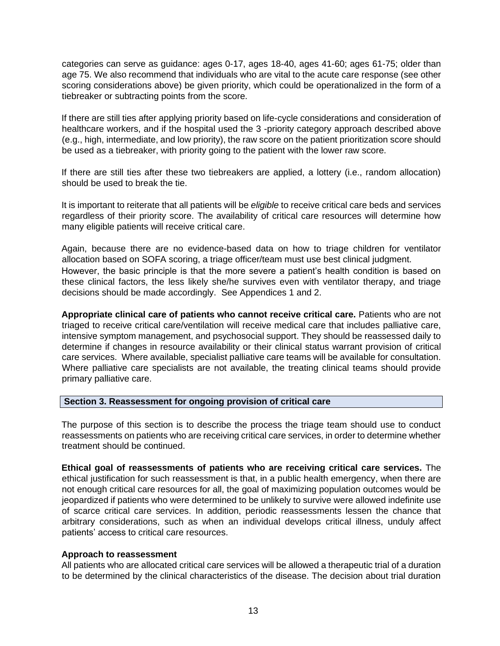categories can serve as guidance: ages 0-17, ages 18-40, ages 41-60; ages 61-75; older than age 75. We also recommend that individuals who are vital to the acute care response (see other scoring considerations above) be given priority, which could be operationalized in the form of a tiebreaker or subtracting points from the score.

If there are still ties after applying priority based on life-cycle considerations and consideration of healthcare workers, and if the hospital used the 3 -priority category approach described above (e.g., high, intermediate, and low priority), the raw score on the patient prioritization score should be used as a tiebreaker, with priority going to the patient with the lower raw score.

If there are still ties after these two tiebreakers are applied, a lottery (i.e., random allocation) should be used to break the tie.

It is important to reiterate that all patients will be *eligible* to receive critical care beds and services regardless of their priority score. The availability of critical care resources will determine how many eligible patients will receive critical care.

Again, because there are no evidence-based data on how to triage children for ventilator allocation based on SOFA scoring, a triage officer/team must use best clinical judgment. However, the basic principle is that the more severe a patient's health condition is based on these clinical factors, the less likely she/he survives even with ventilator therapy, and triage decisions should be made accordingly. See Appendices 1 and 2.

**Appropriate clinical care of patients who cannot receive critical care.** Patients who are not triaged to receive critical care/ventilation will receive medical care that includes palliative care, intensive symptom management, and psychosocial support. They should be reassessed daily to determine if changes in resource availability or their clinical status warrant provision of critical care services. Where available, specialist palliative care teams will be available for consultation. Where palliative care specialists are not available, the treating clinical teams should provide primary palliative care.

#### **Section 3. Reassessment for ongoing provision of critical care**

The purpose of this section is to describe the process the triage team should use to conduct reassessments on patients who are receiving critical care services, in order to determine whether treatment should be continued.

**Ethical goal of reassessments of patients who are receiving critical care services.** The ethical justification for such reassessment is that, in a public health emergency, when there are not enough critical care resources for all, the goal of maximizing population outcomes would be jeopardized if patients who were determined to be unlikely to survive were allowed indefinite use of scarce critical care services. In addition, periodic reassessments lessen the chance that arbitrary considerations, such as when an individual develops critical illness, unduly affect patients' access to critical care resources.

#### **Approach to reassessment**

All patients who are allocated critical care services will be allowed a therapeutic trial of a duration to be determined by the clinical characteristics of the disease. The decision about trial duration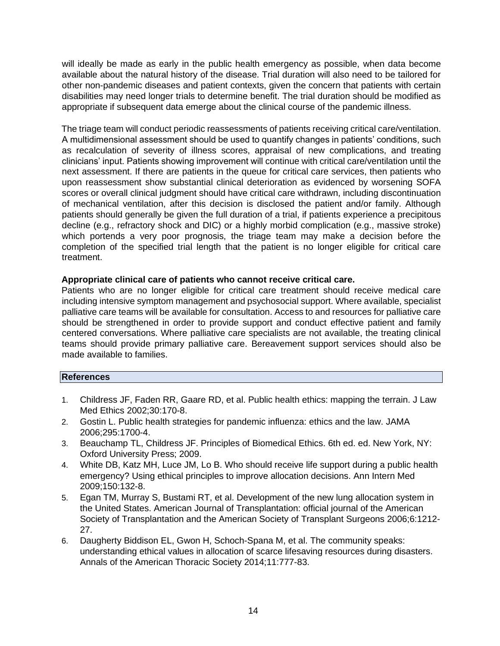will ideally be made as early in the public health emergency as possible, when data become available about the natural history of the disease. Trial duration will also need to be tailored for other non-pandemic diseases and patient contexts, given the concern that patients with certain disabilities may need longer trials to determine benefit. The trial duration should be modified as appropriate if subsequent data emerge about the clinical course of the pandemic illness.

The triage team will conduct periodic reassessments of patients receiving critical care/ventilation. A multidimensional assessment should be used to quantify changes in patients' conditions, such as recalculation of severity of illness scores, appraisal of new complications, and treating clinicians' input. Patients showing improvement will continue with critical care/ventilation until the next assessment. If there are patients in the queue for critical care services, then patients who upon reassessment show substantial clinical deterioration as evidenced by worsening SOFA scores or overall clinical judgment should have critical care withdrawn, including discontinuation of mechanical ventilation, after this decision is disclosed the patient and/or family. Although patients should generally be given the full duration of a trial, if patients experience a precipitous decline (e.g., refractory shock and DIC) or a highly morbid complication (e.g., massive stroke) which portends a very poor prognosis, the triage team may make a decision before the completion of the specified trial length that the patient is no longer eligible for critical care treatment.

#### **Appropriate clinical care of patients who cannot receive critical care.**

Patients who are no longer eligible for critical care treatment should receive medical care including intensive symptom management and psychosocial support. Where available, specialist palliative care teams will be available for consultation. Access to and resources for palliative care should be strengthened in order to provide support and conduct effective patient and family centered conversations. Where palliative care specialists are not available, the treating clinical teams should provide primary palliative care. Bereavement support services should also be made available to families.

#### **References**

- 1. Childress JF, Faden RR, Gaare RD, et al. Public health ethics: mapping the terrain. J Law Med Ethics 2002;30:170-8.
- 2. Gostin L. Public health strategies for pandemic influenza: ethics and the law. JAMA 2006;295:1700-4.
- 3. Beauchamp TL, Childress JF. Principles of Biomedical Ethics. 6th ed. ed. New York, NY: Oxford University Press; 2009.
- 4. White DB, Katz MH, Luce JM, Lo B. Who should receive life support during a public health emergency? Using ethical principles to improve allocation decisions. Ann Intern Med 2009;150:132-8.
- 5. Egan TM, Murray S, Bustami RT, et al. Development of the new lung allocation system in the United States. American Journal of Transplantation: official journal of the American Society of Transplantation and the American Society of Transplant Surgeons 2006;6:1212- 27.
- 6. Daugherty Biddison EL, Gwon H, Schoch-Spana M, et al. The community speaks: understanding ethical values in allocation of scarce lifesaving resources during disasters. Annals of the American Thoracic Society 2014;11:777-83.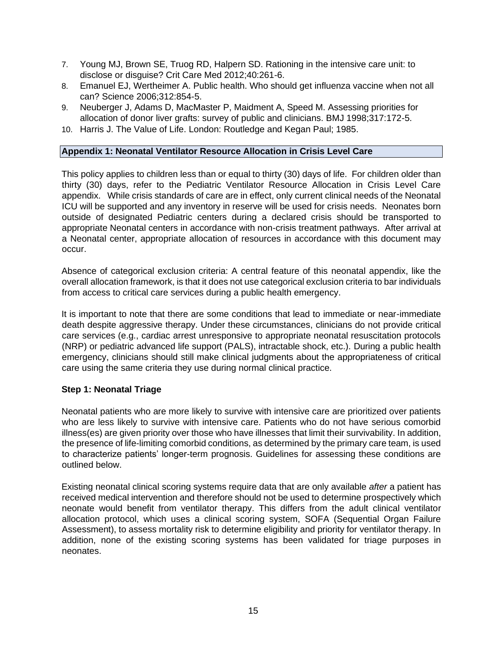- 7. Young MJ, Brown SE, Truog RD, Halpern SD. Rationing in the intensive care unit: to disclose or disguise? Crit Care Med 2012;40:261-6.
- 8. Emanuel EJ, Wertheimer A. Public health. Who should get influenza vaccine when not all can? Science 2006;312:854-5.
- 9. Neuberger J, Adams D, MacMaster P, Maidment A, Speed M. Assessing priorities for allocation of donor liver grafts: survey of public and clinicians. BMJ 1998;317:172-5.
- 10. Harris J. The Value of Life. London: Routledge and Kegan Paul; 1985.

### **Appendix 1: Neonatal Ventilator Resource Allocation in Crisis Level Care**

This policy applies to children less than or equal to thirty (30) days of life. For children older than thirty (30) days, refer to the Pediatric Ventilator Resource Allocation in Crisis Level Care appendix. While crisis standards of care are in effect, only current clinical needs of the Neonatal ICU will be supported and any inventory in reserve will be used for crisis needs. Neonates born outside of designated Pediatric centers during a declared crisis should be transported to appropriate Neonatal centers in accordance with non-crisis treatment pathways. After arrival at a Neonatal center, appropriate allocation of resources in accordance with this document may occur.

Absence of categorical exclusion criteria: A central feature of this neonatal appendix, like the overall allocation framework, is that it does not use categorical exclusion criteria to bar individuals from access to critical care services during a public health emergency.

It is important to note that there are some conditions that lead to immediate or near-immediate death despite aggressive therapy. Under these circumstances, clinicians do not provide critical care services (e.g., cardiac arrest unresponsive to appropriate neonatal resuscitation protocols (NRP) or pediatric advanced life support (PALS), intractable shock, etc.). During a public health emergency, clinicians should still make clinical judgments about the appropriateness of critical care using the same criteria they use during normal clinical practice.

### **Step 1: Neonatal Triage**

Neonatal patients who are more likely to survive with intensive care are prioritized over patients who are less likely to survive with intensive care. Patients who do not have serious comorbid illness(es) are given priority over those who have illnesses that limit their survivability. In addition, the presence of life-limiting comorbid conditions, as determined by the primary care team, is used to characterize patients' longer-term prognosis. Guidelines for assessing these conditions are outlined below.

Existing neonatal clinical scoring systems require data that are only available *after* a patient has received medical intervention and therefore should not be used to determine prospectively which neonate would benefit from ventilator therapy. This differs from the adult clinical ventilator allocation protocol, which uses a clinical scoring system, SOFA (Sequential Organ Failure Assessment), to assess mortality risk to determine eligibility and priority for ventilator therapy. In addition, none of the existing scoring systems has been validated for triage purposes in neonates.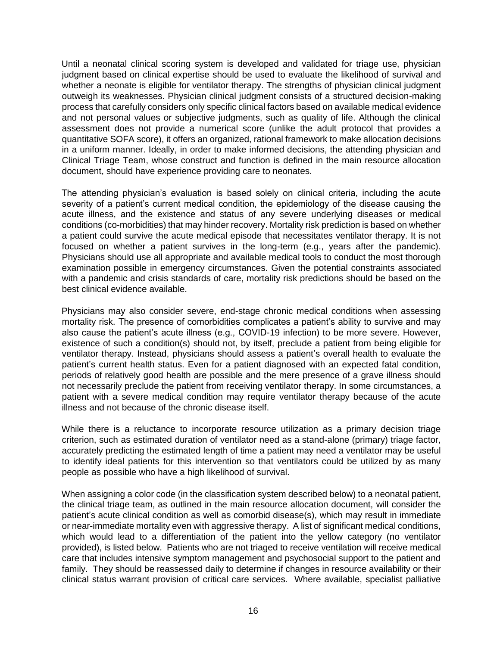Until a neonatal clinical scoring system is developed and validated for triage use, physician judgment based on clinical expertise should be used to evaluate the likelihood of survival and whether a neonate is eligible for ventilator therapy. The strengths of physician clinical judgment outweigh its weaknesses. Physician clinical judgment consists of a structured decision-making process that carefully considers only specific clinical factors based on available medical evidence and not personal values or subjective judgments, such as quality of life. Although the clinical assessment does not provide a numerical score (unlike the adult protocol that provides a quantitative SOFA score), it offers an organized, rational framework to make allocation decisions in a uniform manner. Ideally, in order to make informed decisions, the attending physician and Clinical Triage Team, whose construct and function is defined in the main resource allocation document, should have experience providing care to neonates.

The attending physician's evaluation is based solely on clinical criteria, including the acute severity of a patient's current medical condition, the epidemiology of the disease causing the acute illness, and the existence and status of any severe underlying diseases or medical conditions (co-morbidities) that may hinder recovery. Mortality risk prediction is based on whether a patient could survive the acute medical episode that necessitates ventilator therapy. It is not focused on whether a patient survives in the long-term (e.g., years after the pandemic). Physicians should use all appropriate and available medical tools to conduct the most thorough examination possible in emergency circumstances. Given the potential constraints associated with a pandemic and crisis standards of care, mortality risk predictions should be based on the best clinical evidence available.

Physicians may also consider severe, end-stage chronic medical conditions when assessing mortality risk. The presence of comorbidities complicates a patient's ability to survive and may also cause the patient's acute illness (e.g., COVID-19 infection) to be more severe. However, existence of such a condition(s) should not, by itself, preclude a patient from being eligible for ventilator therapy. Instead, physicians should assess a patient's overall health to evaluate the patient's current health status. Even for a patient diagnosed with an expected fatal condition, periods of relatively good health are possible and the mere presence of a grave illness should not necessarily preclude the patient from receiving ventilator therapy. In some circumstances, a patient with a severe medical condition may require ventilator therapy because of the acute illness and not because of the chronic disease itself.

While there is a reluctance to incorporate resource utilization as a primary decision triage criterion, such as estimated duration of ventilator need as a stand-alone (primary) triage factor, accurately predicting the estimated length of time a patient may need a ventilator may be useful to identify ideal patients for this intervention so that ventilators could be utilized by as many people as possible who have a high likelihood of survival.

When assigning a color code (in the classification system described below) to a neonatal patient, the clinical triage team, as outlined in the main resource allocation document, will consider the patient's acute clinical condition as well as comorbid disease(s), which may result in immediate or near-immediate mortality even with aggressive therapy. A list of significant medical conditions, which would lead to a differentiation of the patient into the yellow category (no ventilator provided), is listed below. Patients who are not triaged to receive ventilation will receive medical care that includes intensive symptom management and psychosocial support to the patient and family. They should be reassessed daily to determine if changes in resource availability or their clinical status warrant provision of critical care services. Where available, specialist palliative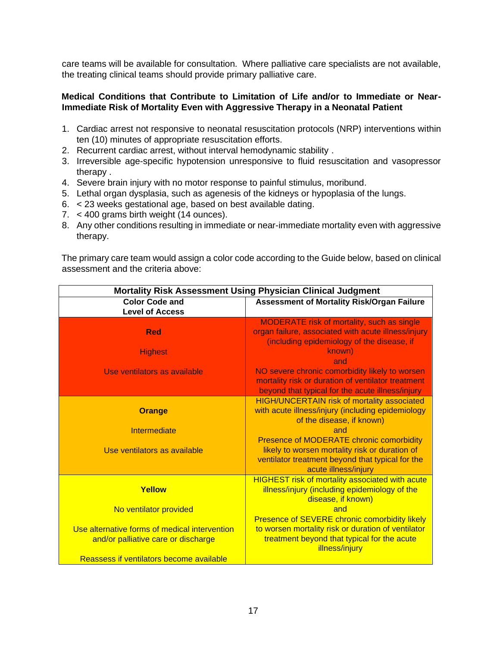care teams will be available for consultation. Where palliative care specialists are not available, the treating clinical teams should provide primary palliative care.

### **Medical Conditions that Contribute to Limitation of Life and/or to Immediate or Near-Immediate Risk of Mortality Even with Aggressive Therapy in a Neonatal Patient**

- 1. Cardiac arrest not responsive to neonatal resuscitation protocols (NRP) interventions within ten (10) minutes of appropriate resuscitation efforts.
- 2. Recurrent cardiac arrest, without interval hemodynamic stability .
- 3. Irreversible age-specific hypotension unresponsive to fluid resuscitation and vasopressor therapy .
- 4. Severe brain injury with no motor response to painful stimulus, moribund.
- 5. Lethal organ dysplasia, such as agenesis of the kidneys or hypoplasia of the lungs.
- 6. < 23 weeks gestational age, based on best available dating.
- 7. < 400 grams birth weight (14 ounces).
- 8. Any other conditions resulting in immediate or near-immediate mortality even with aggressive therapy.

The primary care team would assign a color code according to the Guide below, based on clinical assessment and the criteria above:

| <b>Mortality Risk Assessment Using Physician Clinical Judgment</b> |                                                                                                     |  |  |
|--------------------------------------------------------------------|-----------------------------------------------------------------------------------------------------|--|--|
| <b>Color Code and</b>                                              | Assessment of Mortality Risk/Organ Failure                                                          |  |  |
| <b>Level of Access</b>                                             |                                                                                                     |  |  |
|                                                                    | <b>MODERATE risk of mortality, such as single</b>                                                   |  |  |
| <b>Red</b>                                                         | organ failure, associated with acute illness/injury                                                 |  |  |
|                                                                    | (including epidemiology of the disease, if                                                          |  |  |
| <b>Highest</b>                                                     | known)                                                                                              |  |  |
|                                                                    | and                                                                                                 |  |  |
| Use ventilators as available                                       | NO severe chronic comorbidity likely to worsen                                                      |  |  |
|                                                                    | mortality risk or duration of ventilator treatment                                                  |  |  |
|                                                                    | beyond that typical for the acute illness/injury                                                    |  |  |
|                                                                    | <b>HIGH/UNCERTAIN risk of mortality associated</b>                                                  |  |  |
| <b>Orange</b>                                                      | with acute illness/injury (including epidemiology                                                   |  |  |
|                                                                    | of the disease, if known)                                                                           |  |  |
| Intermediate                                                       | and                                                                                                 |  |  |
|                                                                    | Presence of MODERATE chronic comorbidity                                                            |  |  |
| Use ventilators as available                                       | likely to worsen mortality risk or duration of                                                      |  |  |
|                                                                    | ventilator treatment beyond that typical for the                                                    |  |  |
|                                                                    | acute illness/injury                                                                                |  |  |
|                                                                    | <b>HIGHEST risk of mortality associated with acute</b>                                              |  |  |
| Yellow                                                             | illness/injury (including epidemiology of the                                                       |  |  |
|                                                                    | disease, if known)<br>and                                                                           |  |  |
| No ventilator provided                                             |                                                                                                     |  |  |
| Use alternative forms of medical intervention                      | Presence of SEVERE chronic comorbidity likely<br>to worsen mortality risk or duration of ventilator |  |  |
|                                                                    | treatment beyond that typical for the acute                                                         |  |  |
| and/or palliative care or discharge                                | illness/injury                                                                                      |  |  |
| Reassess if ventilators become available                           |                                                                                                     |  |  |
|                                                                    |                                                                                                     |  |  |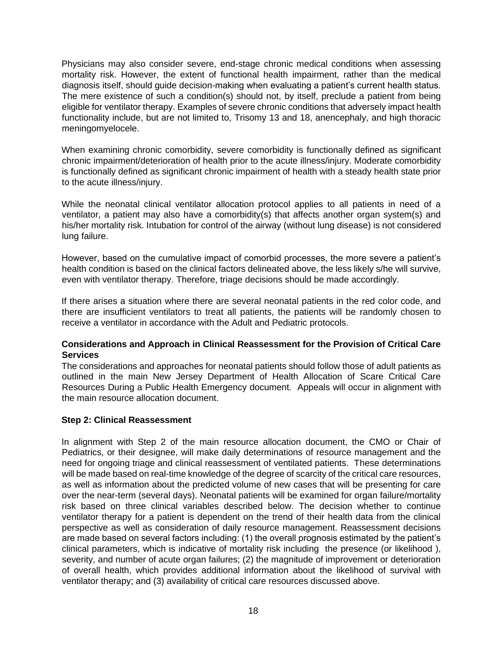Physicians may also consider severe, end-stage chronic medical conditions when assessing mortality risk. However, the extent of functional health impairment, rather than the medical diagnosis itself, should guide decision-making when evaluating a patient's current health status. The mere existence of such a condition(s) should not, by itself, preclude a patient from being eligible for ventilator therapy. Examples of severe chronic conditions that adversely impact health functionality include, but are not limited to, Trisomy 13 and 18, anencephaly, and high thoracic meningomyelocele.

When examining chronic comorbidity, severe comorbidity is functionally defined as significant chronic impairment/deterioration of health prior to the acute illness/injury. Moderate comorbidity is functionally defined as significant chronic impairment of health with a steady health state prior to the acute illness/injury.

While the neonatal clinical ventilator allocation protocol applies to all patients in need of a ventilator, a patient may also have a comorbidity(s) that affects another organ system(s) and his/her mortality risk. Intubation for control of the airway (without lung disease) is not considered lung failure.

However, based on the cumulative impact of comorbid processes, the more severe a patient's health condition is based on the clinical factors delineated above, the less likely s/he will survive, even with ventilator therapy. Therefore, triage decisions should be made accordingly.

If there arises a situation where there are several neonatal patients in the red color code, and there are insufficient ventilators to treat all patients, the patients will be randomly chosen to receive a ventilator in accordance with the Adult and Pediatric protocols.

### **Considerations and Approach in Clinical Reassessment for the Provision of Critical Care Services**

The considerations and approaches for neonatal patients should follow those of adult patients as outlined in the main New Jersey Department of Health Allocation of Scare Critical Care Resources During a Public Health Emergency document. Appeals will occur in alignment with the main resource allocation document.

### **Step 2: Clinical Reassessment**

In alignment with Step 2 of the main resource allocation document, the CMO or Chair of Pediatrics, or their designee, will make daily determinations of resource management and the need for ongoing triage and clinical reassessment of ventilated patients. These determinations will be made based on real-time knowledge of the degree of scarcity of the critical care resources, as well as information about the predicted volume of new cases that will be presenting for care over the near-term (several days). Neonatal patients will be examined for organ failure/mortality risk based on three clinical variables described below. The decision whether to continue ventilator therapy for a patient is dependent on the trend of their health data from the clinical perspective as well as consideration of daily resource management. Reassessment decisions are made based on several factors including: (1) the overall prognosis estimated by the patient's clinical parameters, which is indicative of mortality risk including the presence (or likelihood ), severity, and number of acute organ failures; (2) the magnitude of improvement or deterioration of overall health, which provides additional information about the likelihood of survival with ventilator therapy; and (3) availability of critical care resources discussed above.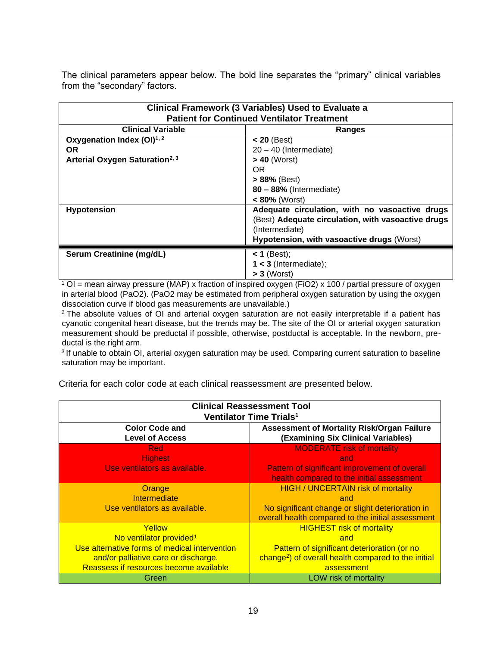The clinical parameters appear below. The bold line separates the "primary" clinical variables from the "secondary" factors.

| <b>Clinical Framework (3 Variables) Used to Evaluate a</b><br><b>Patient for Continued Ventilator Treatment</b> |                                                    |  |  |
|-----------------------------------------------------------------------------------------------------------------|----------------------------------------------------|--|--|
| <b>Clinical Variable</b>                                                                                        | Ranges                                             |  |  |
| Oxygenation Index $(OI)^{1,2}$                                                                                  | $< 20$ (Best)                                      |  |  |
| OR.                                                                                                             | $20 - 40$ (Intermediate)                           |  |  |
| Arterial Oxygen Saturation <sup>2, 3</sup>                                                                      | $> 40$ (Worst)                                     |  |  |
|                                                                                                                 | OR.                                                |  |  |
|                                                                                                                 | $> 88%$ (Best)                                     |  |  |
|                                                                                                                 | $80 - 88%$ (Intermediate)                          |  |  |
|                                                                                                                 | $< 80\%$ (Worst)                                   |  |  |
| <b>Hypotension</b>                                                                                              | Adequate circulation, with no vasoactive drugs     |  |  |
|                                                                                                                 | (Best) Adequate circulation, with vasoactive drugs |  |  |
|                                                                                                                 | (Intermediate)                                     |  |  |
|                                                                                                                 | Hypotension, with vasoactive drugs (Worst)         |  |  |
| Serum Creatinine (mg/dL)                                                                                        | $<$ 1 (Best);                                      |  |  |
|                                                                                                                 | $1 < 3$ (Intermediate);                            |  |  |
| $> 3$ (Worst)                                                                                                   |                                                    |  |  |

 $1$  OI = mean airway pressure (MAP) x fraction of inspired oxygen (FiO2) x 100 / partial pressure of oxygen in arterial blood (PaO2). (PaO2 may be estimated from peripheral oxygen saturation by using the oxygen dissociation curve if blood gas measurements are unavailable.)

<sup>2</sup> The absolute values of OI and arterial oxygen saturation are not easily interpretable if a patient has cyanotic congenital heart disease, but the trends may be. The site of the OI or arterial oxygen saturation measurement should be preductal if possible, otherwise, postductal is acceptable. In the newborn, preductal is the right arm.

<sup>3</sup> If unable to obtain OI, arterial oxygen saturation may be used. Comparing current saturation to baseline saturation may be important.

Criteria for each color code at each clinical reassessment are presented below.

| <b>Clinical Reassessment Tool</b><br>Ventilator Time Trials <sup>1</sup>                                                                                                         |                                                                                                                                                                         |  |  |
|----------------------------------------------------------------------------------------------------------------------------------------------------------------------------------|-------------------------------------------------------------------------------------------------------------------------------------------------------------------------|--|--|
| <b>Color Code and</b><br><b>Level of Access</b>                                                                                                                                  | Assessment of Mortality Risk/Organ Failure<br>(Examining Six Clinical Variables)                                                                                        |  |  |
| <b>Red</b><br><b>Highest</b><br>Use ventilators as available.                                                                                                                    | <b>MODERATE risk of mortality</b><br>and<br>Pattern of significant improvement of overall<br>health compared to the initial assessment                                  |  |  |
| Orange<br>Intermediate<br>Use ventilators as available.                                                                                                                          | <b>HIGH / UNCERTAIN risk of mortality</b><br>and<br>No significant change or slight deterioration in<br>overall health compared to the initial assessment               |  |  |
| Yellow<br>No ventilator provided <sup>1</sup><br>Use alternative forms of medical intervention<br>and/or palliative care or discharge.<br>Reassess if resources become available | <b>HIGHEST risk of mortality</b><br>and<br>Pattern of significant deterioration (or no<br>change <sup>2</sup> ) of overall health compared to the initial<br>assessment |  |  |
| Green                                                                                                                                                                            | LOW risk of mortality                                                                                                                                                   |  |  |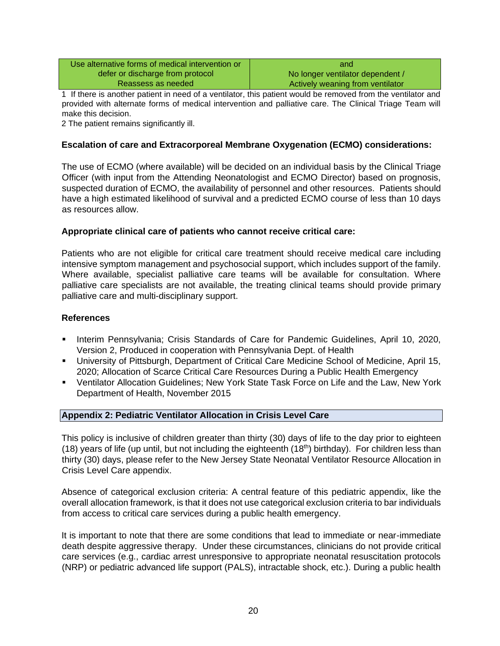| Use alternative forms of medical intervention or | and                              |
|--------------------------------------------------|----------------------------------|
| defer or discharge from protocol                 | No longer ventilator dependent / |
| Reassess as needed                               | Actively weaning from ventilator |

1 If there is another patient in need of a ventilator, this patient would be removed from the ventilator and provided with alternate forms of medical intervention and palliative care. The Clinical Triage Team will make this decision.

2 The patient remains significantly ill.

## **Escalation of care and Extracorporeal Membrane Oxygenation (ECMO) considerations:**

The use of ECMO (where available) will be decided on an individual basis by the Clinical Triage Officer (with input from the Attending Neonatologist and ECMO Director) based on prognosis, suspected duration of ECMO, the availability of personnel and other resources. Patients should have a high estimated likelihood of survival and a predicted ECMO course of less than 10 days as resources allow.

### **Appropriate clinical care of patients who cannot receive critical care:**

Patients who are not eligible for critical care treatment should receive medical care including intensive symptom management and psychosocial support, which includes support of the family. Where available, specialist palliative care teams will be available for consultation. Where palliative care specialists are not available, the treating clinical teams should provide primary palliative care and multi-disciplinary support.

#### **References**

- Interim Pennsylvania; Crisis Standards of Care for Pandemic Guidelines, April 10, 2020, Version 2, Produced in cooperation with Pennsylvania Dept. of Health
- University of Pittsburgh, Department of Critical Care Medicine School of Medicine, April 15, 2020; Allocation of Scarce Critical Care Resources During a Public Health Emergency
- Ventilator Allocation Guidelines; New York State Task Force on Life and the Law, New York Department of Health, November 2015

#### **Appendix 2: Pediatric Ventilator Allocation in Crisis Level Care**

This policy is inclusive of children greater than thirty (30) days of life to the day prior to eighteen (18) years of life (up until, but not including the eighteenth (18<sup>th</sup>) birthday). For children less than thirty (30) days, please refer to the New Jersey State Neonatal Ventilator Resource Allocation in Crisis Level Care appendix.

Absence of categorical exclusion criteria: A central feature of this pediatric appendix, like the overall allocation framework, is that it does not use categorical exclusion criteria to bar individuals from access to critical care services during a public health emergency.

It is important to note that there are some conditions that lead to immediate or near-immediate death despite aggressive therapy. Under these circumstances, clinicians do not provide critical care services (e.g., cardiac arrest unresponsive to appropriate neonatal resuscitation protocols (NRP) or pediatric advanced life support (PALS), intractable shock, etc.). During a public health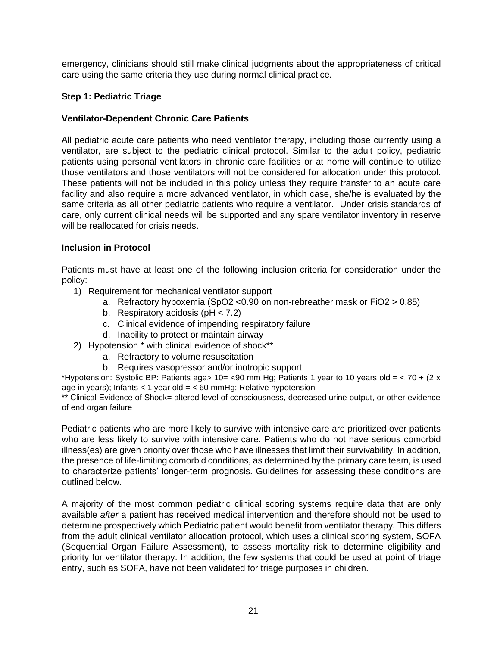emergency, clinicians should still make clinical judgments about the appropriateness of critical care using the same criteria they use during normal clinical practice.

## **Step 1: Pediatric Triage**

### **Ventilator-Dependent Chronic Care Patients**

All pediatric acute care patients who need ventilator therapy, including those currently using a ventilator, are subject to the pediatric clinical protocol. Similar to the adult policy, pediatric patients using personal ventilators in chronic care facilities or at home will continue to utilize those ventilators and those ventilators will not be considered for allocation under this protocol. These patients will not be included in this policy unless they require transfer to an acute care facility and also require a more advanced ventilator, in which case, she/he is evaluated by the same criteria as all other pediatric patients who require a ventilator. Under crisis standards of care, only current clinical needs will be supported and any spare ventilator inventory in reserve will be reallocated for crisis needs.

### **Inclusion in Protocol**

Patients must have at least one of the following inclusion criteria for consideration under the policy:

- 1) Requirement for mechanical ventilator support
	- a. Refractory hypoxemia (SpO2 <0.90 on non-rebreather mask or FiO2 > 0.85)
	- b. Respiratory acidosis (pH < 7.2)
	- c. Clinical evidence of impending respiratory failure
	- d. Inability to protect or maintain airway
- 2) Hypotension \* with clinical evidence of shock\*\*
	- a. Refractory to volume resuscitation
	- b. Requires vasopressor and/or inotropic support

\*Hypotension: Systolic BP: Patients age> 10= <90 mm Hg; Patients 1 year to 10 years old = < 70 + (2 x age in years); Infants  $<$  1 year old =  $<$  60 mmHg; Relative hypotension

\*\* Clinical Evidence of Shock= altered level of consciousness, decreased urine output, or other evidence of end organ failure

Pediatric patients who are more likely to survive with intensive care are prioritized over patients who are less likely to survive with intensive care. Patients who do not have serious comorbid illness(es) are given priority over those who have illnesses that limit their survivability. In addition, the presence of life-limiting comorbid conditions, as determined by the primary care team, is used to characterize patients' longer-term prognosis. Guidelines for assessing these conditions are outlined below.

A majority of the most common pediatric clinical scoring systems require data that are only available *after* a patient has received medical intervention and therefore should not be used to determine prospectively which Pediatric patient would benefit from ventilator therapy. This differs from the adult clinical ventilator allocation protocol, which uses a clinical scoring system, SOFA (Sequential Organ Failure Assessment), to assess mortality risk to determine eligibility and priority for ventilator therapy. In addition, the few systems that could be used at point of triage entry, such as SOFA, have not been validated for triage purposes in children.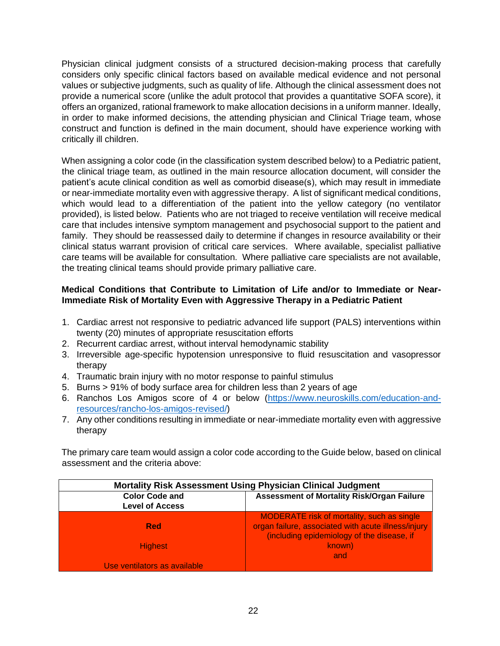Physician clinical judgment consists of a structured decision-making process that carefully considers only specific clinical factors based on available medical evidence and not personal values or subjective judgments, such as quality of life. Although the clinical assessment does not provide a numerical score (unlike the adult protocol that provides a quantitative SOFA score), it offers an organized, rational framework to make allocation decisions in a uniform manner. Ideally, in order to make informed decisions, the attending physician and Clinical Triage team, whose construct and function is defined in the main document, should have experience working with critically ill children.

When assigning a color code (in the classification system described below) to a Pediatric patient, the clinical triage team, as outlined in the main resource allocation document, will consider the patient's acute clinical condition as well as comorbid disease(s), which may result in immediate or near-immediate mortality even with aggressive therapy. A list of significant medical conditions, which would lead to a differentiation of the patient into the yellow category (no ventilator provided), is listed below. Patients who are not triaged to receive ventilation will receive medical care that includes intensive symptom management and psychosocial support to the patient and family. They should be reassessed daily to determine if changes in resource availability or their clinical status warrant provision of critical care services. Where available, specialist palliative care teams will be available for consultation. Where palliative care specialists are not available, the treating clinical teams should provide primary palliative care.

### **Medical Conditions that Contribute to Limitation of Life and/or to Immediate or Near-Immediate Risk of Mortality Even with Aggressive Therapy in a Pediatric Patient**

- 1. Cardiac arrest not responsive to pediatric advanced life support (PALS) interventions within twenty (20) minutes of appropriate resuscitation efforts
- 2. Recurrent cardiac arrest, without interval hemodynamic stability
- 3. Irreversible age-specific hypotension unresponsive to fluid resuscitation and vasopressor therapy
- 4. Traumatic brain injury with no motor response to painful stimulus
- 5. Burns > 91% of body surface area for children less than 2 years of age
- 6. Ranchos Los Amigos score of 4 or below [\(https://www.neuroskills.com/education-and](https://www.neuroskills.com/education-and-resources/rancho-los-amigos-revised/)[resources/rancho-los-amigos-revised/\)](https://www.neuroskills.com/education-and-resources/rancho-los-amigos-revised/)
- 7. Any other conditions resulting in immediate or near-immediate mortality even with aggressive therapy

The primary care team would assign a color code according to the Guide below, based on clinical assessment and the criteria above:

| <b>Mortality Risk Assessment Using Physician Clinical Judgment</b> |                                                     |  |
|--------------------------------------------------------------------|-----------------------------------------------------|--|
| <b>Color Code and</b>                                              | Assessment of Mortality Risk/Organ Failure          |  |
| <b>Level of Access</b>                                             |                                                     |  |
|                                                                    | <b>MODERATE risk of mortality, such as single</b>   |  |
| <b>Red</b>                                                         | organ failure, associated with acute illness/injury |  |
|                                                                    | (including epidemiology of the disease, if          |  |
| <b>Highest</b>                                                     | known)                                              |  |
|                                                                    | and                                                 |  |
| Use ventilators as available                                       |                                                     |  |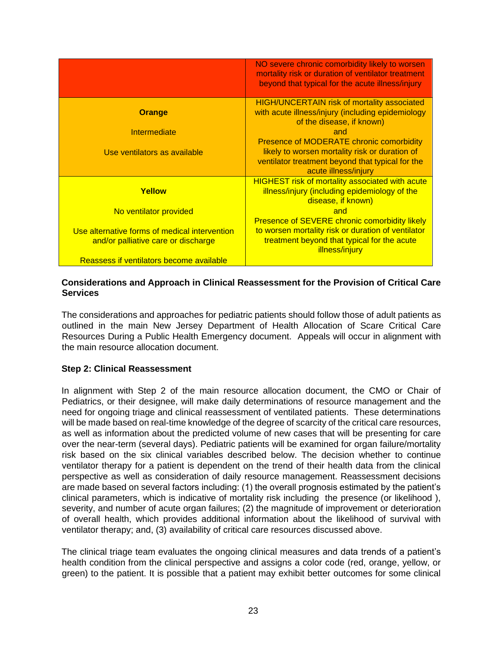|                                                                                      | NO severe chronic comorbidity likely to worsen<br>mortality risk or duration of ventilator treatment<br>beyond that typical for the acute illness/injury                      |
|--------------------------------------------------------------------------------------|-------------------------------------------------------------------------------------------------------------------------------------------------------------------------------|
| <b>Orange</b>                                                                        | <b>HIGH/UNCERTAIN risk of mortality associated</b><br>with acute illness/injury (including epidemiology<br>of the disease, if known)                                          |
| Intermediate                                                                         | and                                                                                                                                                                           |
| Use ventilators as available                                                         | <b>Presence of MODERATE chronic comorbidity</b><br>likely to worsen mortality risk or duration of<br>ventilator treatment beyond that typical for the<br>acute illness/injury |
| Yellow                                                                               | <b>HIGHEST risk of mortality associated with acute</b><br>illness/injury (including epidemiology of the<br>disease, if known)<br>and                                          |
| No ventilator provided                                                               | <b>Presence of SEVERE chronic comorbidity likely</b>                                                                                                                          |
| Use alternative forms of medical intervention<br>and/or palliative care or discharge | to worsen mortality risk or duration of ventilator<br>treatment beyond that typical for the acute<br>illness/injury                                                           |
| Reassess if ventilators become available                                             |                                                                                                                                                                               |

#### **Considerations and Approach in Clinical Reassessment for the Provision of Critical Care Services**

The considerations and approaches for pediatric patients should follow those of adult patients as outlined in the main New Jersey Department of Health Allocation of Scare Critical Care Resources During a Public Health Emergency document. Appeals will occur in alignment with the main resource allocation document.

### **Step 2: Clinical Reassessment**

In alignment with Step 2 of the main resource allocation document, the CMO or Chair of Pediatrics, or their designee, will make daily determinations of resource management and the need for ongoing triage and clinical reassessment of ventilated patients. These determinations will be made based on real-time knowledge of the degree of scarcity of the critical care resources, as well as information about the predicted volume of new cases that will be presenting for care over the near-term (several days). Pediatric patients will be examined for organ failure/mortality risk based on the six clinical variables described below. The decision whether to continue ventilator therapy for a patient is dependent on the trend of their health data from the clinical perspective as well as consideration of daily resource management. Reassessment decisions are made based on several factors including: (1) the overall prognosis estimated by the patient's clinical parameters, which is indicative of mortality risk including the presence (or likelihood ), severity, and number of acute organ failures; (2) the magnitude of improvement or deterioration of overall health, which provides additional information about the likelihood of survival with ventilator therapy; and, (3) availability of critical care resources discussed above.

The clinical triage team evaluates the ongoing clinical measures and data trends of a patient's health condition from the clinical perspective and assigns a color code (red, orange, yellow, or green) to the patient. It is possible that a patient may exhibit better outcomes for some clinical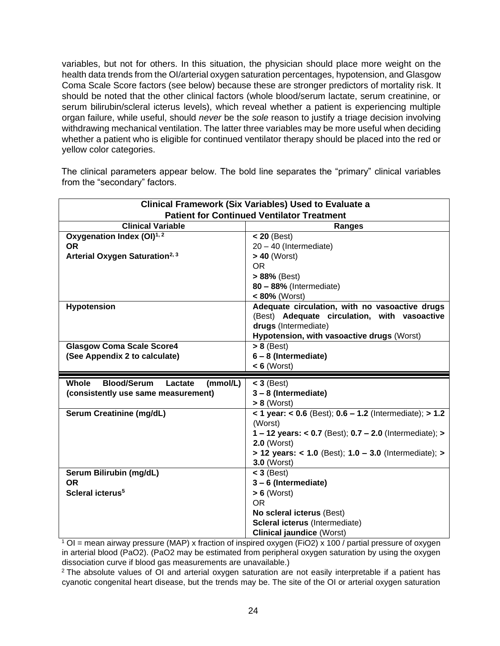variables, but not for others. In this situation, the physician should place more weight on the health data trends from the OI/arterial oxygen saturation percentages, hypotension, and Glasgow Coma Scale Score factors (see below) because these are stronger predictors of mortality risk. It should be noted that the other clinical factors (whole blood/serum lactate, serum creatinine, or serum bilirubin/scleral icterus levels), which reveal whether a patient is experiencing multiple organ failure, while useful, should *never* be the *sole* reason to justify a triage decision involving withdrawing mechanical ventilation. The latter three variables may be more useful when deciding whether a patient who is eligible for continued ventilator therapy should be placed into the red or yellow color categories.

The clinical parameters appear below. The bold line separates the "primary" clinical variables from the "secondary" factors.

| <b>Clinical Framework (Six Variables) Used to Evaluate a</b> |                                                                          |  |  |
|--------------------------------------------------------------|--------------------------------------------------------------------------|--|--|
| <b>Patient for Continued Ventilator Treatment</b>            |                                                                          |  |  |
| <b>Clinical Variable</b>                                     | Ranges                                                                   |  |  |
| Oxygenation Index (OI) <sup>1,2</sup>                        | $< 20$ (Best)                                                            |  |  |
| <b>OR</b>                                                    | 20 - 40 (Intermediate)                                                   |  |  |
| Arterial Oxygen Saturation <sup>2, 3</sup>                   | $> 40$ (Worst)                                                           |  |  |
|                                                              | <b>OR</b>                                                                |  |  |
|                                                              | > 88% (Best)                                                             |  |  |
|                                                              | 80 - 88% (Intermediate)                                                  |  |  |
|                                                              | $< 80\%$ (Worst)                                                         |  |  |
| <b>Hypotension</b>                                           | Adequate circulation, with no vasoactive drugs                           |  |  |
|                                                              | (Best) Adequate circulation, with vasoactive                             |  |  |
|                                                              | drugs (Intermediate)                                                     |  |  |
|                                                              | Hypotension, with vasoactive drugs (Worst)                               |  |  |
| <b>Glasgow Coma Scale Score4</b>                             | $> 8$ (Best)                                                             |  |  |
| (See Appendix 2 to calculate)                                | $6 - 8$ (Intermediate)                                                   |  |  |
|                                                              | $< 6$ (Worst)                                                            |  |  |
|                                                              |                                                                          |  |  |
|                                                              |                                                                          |  |  |
| <b>Whole</b><br><b>Blood/Serum</b><br>(mmol/L)<br>Lactate    | $<$ 3 (Best)                                                             |  |  |
| (consistently use same measurement)                          | 3-8 (Intermediate)                                                       |  |  |
|                                                              | $> 8$ (Worst)                                                            |  |  |
| Serum Creatinine (mg/dL)                                     | < 1 year: < $0.6$ (Best); $0.6 - 1.2$ (Intermediate); > $1.2$<br>(Worst) |  |  |
|                                                              | 1-12 years: < 0.7 (Best); $0.7 - 2.0$ (Intermediate); >                  |  |  |
|                                                              | $2.0$ (Worst)                                                            |  |  |
|                                                              | $> 12$ years: < 1.0 (Best); $1.0 - 3.0$ (Intermediate); >                |  |  |
|                                                              | <b>3.0 (Worst)</b>                                                       |  |  |
| Serum Bilirubin (mg/dL)                                      | $<$ 3 (Best)                                                             |  |  |
| <b>OR</b>                                                    | 3-6 (Intermediate)                                                       |  |  |
| Scleral icterus <sup>5</sup>                                 | $> 6$ (Worst)                                                            |  |  |
|                                                              | <b>OR</b>                                                                |  |  |
|                                                              | No scleral icterus (Best)                                                |  |  |
|                                                              | Scleral icterus (Intermediate)                                           |  |  |

<sup>1</sup> OI = mean airway pressure (MAP) x fraction of inspired oxygen (FiO2) x 100 / partial pressure of oxygen in arterial blood (PaO2). (PaO2 may be estimated from peripheral oxygen saturation by using the oxygen dissociation curve if blood gas measurements are unavailable.)

<sup>2</sup> The absolute values of OI and arterial oxygen saturation are not easily interpretable if a patient has cyanotic congenital heart disease, but the trends may be. The site of the OI or arterial oxygen saturation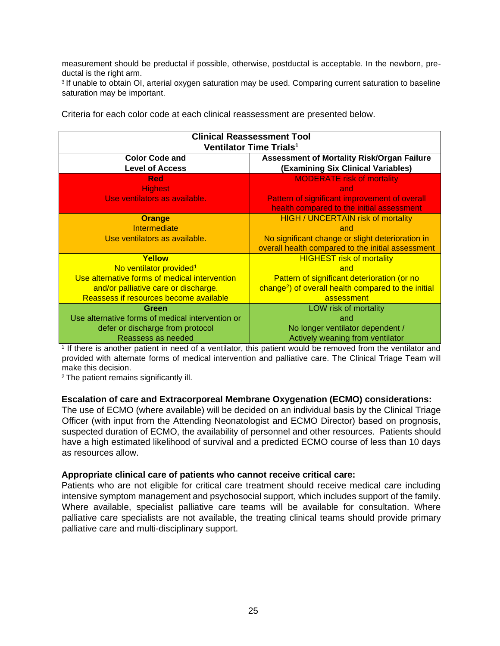measurement should be preductal if possible, otherwise, postductal is acceptable. In the newborn, preductal is the right arm.

<sup>3</sup> If unable to obtain OI, arterial oxygen saturation may be used. Comparing current saturation to baseline saturation may be important.

| <b>Clinical Reassessment Tool</b>                |                                                                 |  |  |
|--------------------------------------------------|-----------------------------------------------------------------|--|--|
| Ventilator Time Trials <sup>1</sup>              |                                                                 |  |  |
| <b>Color Code and</b>                            | <b>Assessment of Mortality Risk/Organ Failure</b>               |  |  |
| <b>Level of Access</b>                           | (Examining Six Clinical Variables)                              |  |  |
| <b>Red</b>                                       | <b>MODERATE risk of mortality</b>                               |  |  |
| <b>Highest</b>                                   | and                                                             |  |  |
| Use ventilators as available.                    | Pattern of significant improvement of overall                   |  |  |
|                                                  | health compared to the initial assessment                       |  |  |
| <b>Orange</b>                                    | <b>HIGH / UNCERTAIN risk of mortality</b>                       |  |  |
| Intermediate                                     | and                                                             |  |  |
| Use ventilators as available.                    | No significant change or slight deterioration in                |  |  |
|                                                  | overall health compared to the initial assessment               |  |  |
| Yellow                                           | <b>HIGHEST risk of mortality</b>                                |  |  |
| No ventilator provided <sup>1</sup>              | and                                                             |  |  |
| Use alternative forms of medical intervention    | Pattern of significant deterioration (or no                     |  |  |
| and/or palliative care or discharge.             | change <sup>2</sup> ) of overall health compared to the initial |  |  |
| Reassess if resources become available           | assessment                                                      |  |  |
| Green                                            | LOW risk of mortality                                           |  |  |
| Use alternative forms of medical intervention or | and                                                             |  |  |
| defer or discharge from protocol                 | No longer ventilator dependent /                                |  |  |
| Reassess as needed                               | Actively weaning from ventilator                                |  |  |

Criteria for each color code at each clinical reassessment are presented below.

1 If there is another patient in need of a ventilator, this patient would be removed from the ventilator and provided with alternate forms of medical intervention and palliative care. The Clinical Triage Team will make this decision.

<sup>2</sup>The patient remains significantly ill.

#### **Escalation of care and Extracorporeal Membrane Oxygenation (ECMO) considerations:**

The use of ECMO (where available) will be decided on an individual basis by the Clinical Triage Officer (with input from the Attending Neonatologist and ECMO Director) based on prognosis, suspected duration of ECMO, the availability of personnel and other resources. Patients should have a high estimated likelihood of survival and a predicted ECMO course of less than 10 days as resources allow.

#### **Appropriate clinical care of patients who cannot receive critical care:**

Patients who are not eligible for critical care treatment should receive medical care including intensive symptom management and psychosocial support, which includes support of the family. Where available, specialist palliative care teams will be available for consultation. Where palliative care specialists are not available, the treating clinical teams should provide primary palliative care and multi-disciplinary support.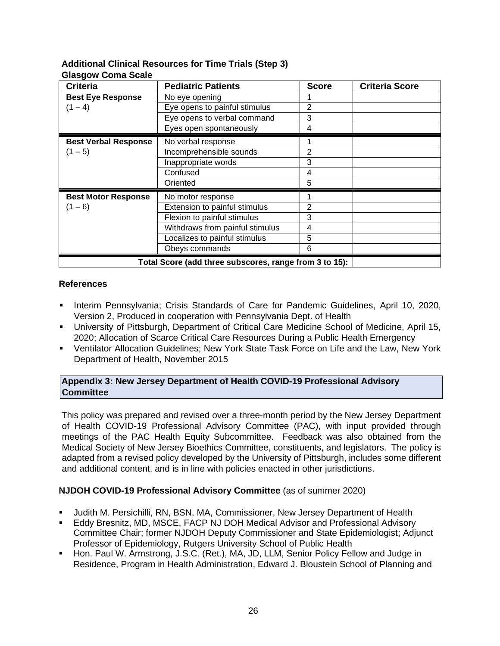## **Additional Clinical Resources for Time Trials (Step 3) Glasgow Coma Scale**

| <b>Criteria</b>                                        | <b>Pediatric Patients</b>       | <b>Score</b> | <b>Criteria Score</b> |
|--------------------------------------------------------|---------------------------------|--------------|-----------------------|
| <b>Best Eye Response</b>                               | No eye opening                  |              |                       |
| $(1 - 4)$                                              | Eye opens to painful stimulus   | 2            |                       |
|                                                        | Eye opens to verbal command     | 3            |                       |
|                                                        | Eyes open spontaneously         | 4            |                       |
| <b>Best Verbal Response</b>                            | No verbal response              |              |                       |
| $(1 - 5)$                                              | Incomprehensible sounds         | 2            |                       |
|                                                        | Inappropriate words             | 3            |                       |
|                                                        | Confused                        | 4            |                       |
|                                                        | Oriented                        | 5            |                       |
| <b>Best Motor Response</b>                             | No motor response               |              |                       |
| $(1 - 6)$                                              | Extension to painful stimulus   | 2            |                       |
|                                                        | Flexion to painful stimulus     | 3            |                       |
|                                                        | Withdraws from painful stimulus | 4            |                       |
|                                                        | Localizes to painful stimulus   | 5            |                       |
|                                                        | Obeys commands                  | 6            |                       |
| Total Score (add three subscores, range from 3 to 15): |                                 |              |                       |

## **References**

- Interim Pennsylvania; Crisis Standards of Care for Pandemic Guidelines, April 10, 2020, Version 2, Produced in cooperation with Pennsylvania Dept. of Health
- University of Pittsburgh, Department of Critical Care Medicine School of Medicine, April 15, 2020; Allocation of Scarce Critical Care Resources During a Public Health Emergency
- Ventilator Allocation Guidelines; New York State Task Force on Life and the Law, New York Department of Health, November 2015

## **Appendix 3: New Jersey Department of Health COVID-19 Professional Advisory Committee**

This policy was prepared and revised over a three-month period by the New Jersey Department of Health COVID-19 Professional Advisory Committee (PAC), with input provided through meetings of the PAC Health Equity Subcommittee. Feedback was also obtained from the Medical Society of New Jersey Bioethics Committee, constituents, and legislators. The policy is adapted from a revised policy developed by the University of Pittsburgh, includes some different and additional content, and is in line with policies enacted in other jurisdictions.

## **NJDOH COVID-19 Professional Advisory Committee** (as of summer 2020)

- Judith M. Persichilli, RN, BSN, MA, Commissioner, New Jersey Department of Health
- **Eddy Bresnitz, MD, MSCE, FACP NJ DOH Medical Advisor and Professional Advisory** Committee Chair; former NJDOH Deputy Commissioner and State Epidemiologist; Adjunct Professor of Epidemiology, Rutgers University School of Public Health
- Hon. Paul W. Armstrong, J.S.C. (Ret.), MA, JD, LLM, Senior Policy Fellow and Judge in Residence, Program in Health Administration, Edward J. Bloustein School of Planning and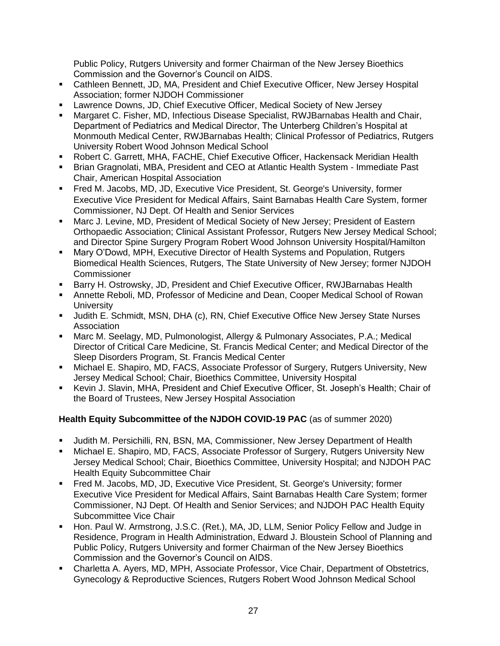Public Policy, Rutgers University and former Chairman of the New Jersey Bioethics Commission and the Governor's Council on AIDS.

- Cathleen Bennett, JD, MA, President and Chief Executive Officer, New Jersey Hospital Association; former NJDOH Commissioner
- **Lawrence Downs, JD, Chief Executive Officer, Medical Society of New Jersey**
- Margaret C. Fisher, MD, Infectious Disease Specialist, RWJBarnabas Health and Chair, Department of Pediatrics and Medical Director, The Unterberg Children's Hospital at Monmouth Medical Center, RWJBarnabas Health; Clinical Professor of Pediatrics, Rutgers University Robert Wood Johnson Medical School
- Robert C. Garrett, MHA, FACHE, Chief Executive Officer, Hackensack Meridian Health
- Brian Gragnolati, MBA, President and CEO at Atlantic Health System Immediate Past Chair, American Hospital Association
- Fred M. Jacobs, MD, JD, Executive Vice President, St. George's University, former Executive Vice President for Medical Affairs, Saint Barnabas Health Care System, former Commissioner, NJ Dept. Of Health and Senior Services
- Marc J. Levine, MD, President of Medical Society of New Jersey; President of Eastern Orthopaedic Association; Clinical Assistant Professor, Rutgers New Jersey Medical School; and Director Spine Surgery Program Robert Wood Johnson University Hospital/Hamilton
- **Mary O'Dowd, MPH, Executive Director of Health Systems and Population, Rutgers** Biomedical Health Sciences, Rutgers, The State University of New Jersey; former NJDOH **Commissioner**
- **E** Barry H. Ostrowsky, JD, President and Chief Executive Officer, RWJBarnabas Health
- **Annette Reboli, MD, Professor of Medicine and Dean, Cooper Medical School of Rowan University**
- Judith E. Schmidt, MSN, DHA (c), RN, Chief Executive Office New Jersey State Nurses Association
- Marc M. Seelagy, MD, Pulmonologist, Allergy & Pulmonary Associates, P.A.; Medical Director of Critical Care Medicine, St. Francis Medical Center; and Medical Director of the Sleep Disorders Program, St. Francis Medical Center
- **■** Michael E. Shapiro, MD, FACS, Associate Professor of Surgery, Rutgers University, New Jersey Medical School; Chair, Bioethics Committee, University Hospital
- Kevin J. Slavin, MHA, President and Chief Executive Officer, St. Joseph's Health; Chair of the Board of Trustees, New Jersey Hospital Association

# **Health Equity Subcommittee of the NJDOH COVID-19 PAC** (as of summer 2020)

- Judith M. Persichilli, RN, BSN, MA, Commissioner, New Jersey Department of Health
- **E** Michael E. Shapiro, MD, FACS, Associate Professor of Surgery, Rutgers University New Jersey Medical School; Chair, Bioethics Committee, University Hospital; and NJDOH PAC Health Equity Subcommittee Chair
- Fred M. Jacobs, MD, JD, Executive Vice President, St. George's University; former Executive Vice President for Medical Affairs, Saint Barnabas Health Care System; former Commissioner, NJ Dept. Of Health and Senior Services; and NJDOH PAC Health Equity Subcommittee Vice Chair
- Hon. Paul W. Armstrong, J.S.C. (Ret.), MA, JD, LLM, Senior Policy Fellow and Judge in Residence, Program in Health Administration, Edward J. Bloustein School of Planning and Public Policy, Rutgers University and former Chairman of the New Jersey Bioethics Commission and the Governor's Council on AIDS.
- Charletta A. Ayers, MD, MPH, Associate Professor, Vice Chair, Department of Obstetrics, Gynecology & Reproductive Sciences, Rutgers Robert Wood Johnson Medical School